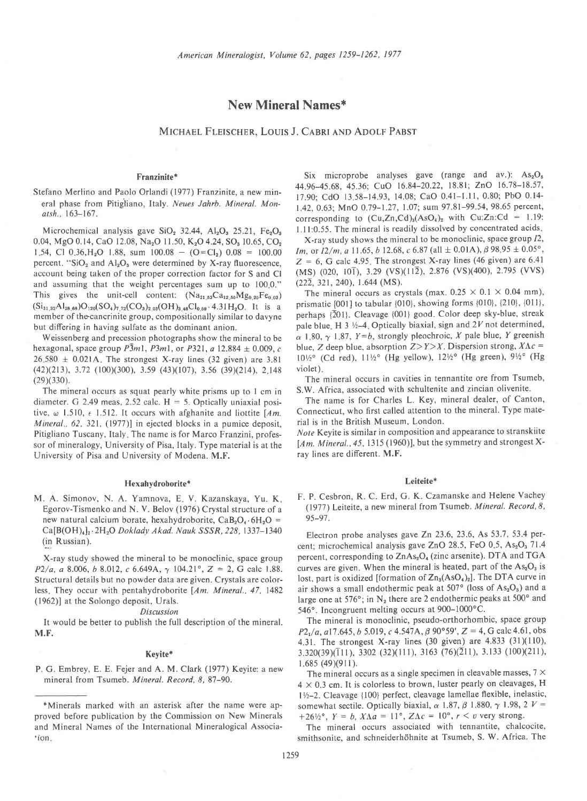# New Mineral Names\*

MICHAEL FLEISCHER, LOUIS J. CABRI AND ADOLF PABST

# Franzinite\*

Stefano Merlino and Paolo Orlandi (1977) Franzinite, a new mineral phase from Pitigliano, Italy. Neues Jahrb. Mineral. Monatsh., 163-167.

Microchemical analysis gave  $SiO<sub>2</sub>$  32.44,  $Al<sub>2</sub>O<sub>3</sub>$  25.21, Fe<sub>2</sub>O<sub>3</sub> 0.04, MgO 0.14, CaO 12.08, Na<sub>2</sub>O 11.50, K<sub>2</sub>O 4.24, SO<sub>3</sub> 10.65, CO<sub>2</sub> 1,54, Cl 0,36, H<sub>2</sub>O 1.88, sum  $100.08 - (O = Cl<sub>2</sub>)$  0.08 = 100.00 percent. "SiO<sub>2</sub> and Al<sub>2</sub>O<sub>3</sub> were determined by X-ray fluorescence, account being taken of the proper correction factor for S and Cl and assuming that the weight percentages sum up to 100.0." This gives the unit-cell content:  $(Na_{21.53}Ca_{12.50}Mg_{0.20}Fe_{0.03})$  $(Si_{31,32}Al_{28,68})O_{120}(SO_4)_{7,72}(CO_3)_{2,03}(OH)_{3,48}Cl_{0,59}$ . 4.31H<sub>2</sub>O. It is a member of the-cancrinite group, compositionally similar to davyne but differing in having sulfate as the dominant anion.

Weissenberg and precession photographs show the mineral to be hexagonal, space group  $P\bar{3}m1$ ,  $P\bar{3}m1$ , or  $P\bar{3}21$ , a  $12.884 \pm 0.009$ , c  $26,580 \pm 0.021$ A. The strongest X-ray lines (32 given) are 3.81  $(42)(213)$ , 3.72  $(100)(300)$ , 3.59  $(43)(107)$ , 3.56  $(39)(214)$ , 2.148  $(29)(330)$ .

The mineral occurs as squat pearly white prisms up to I cm in diameter. G 2.49 meas, 2.52 calc.  $H = 5$ . Optically uniaxial positive,  $\omega$  1.510,  $\epsilon$  1.512. It occurs with afghanite and liottite [Am. Mineral., 62, 321, (1977)] in ejected blocks in a pumice deposit, Pitigliano Tuscany, Italy. The name is for Marco Franzini, professor of mineralogy, University of Pisa, Italy. Type material is at the University of Pisa and University of Modena. M.F.

### Hexahydroborite\*

M. A. Simonov, N. A. Yamnova, E V. Kazanskaya, Yu. K Egorov-Tismenko and N. V. Belov (1976) Crystal structure of a new natural calcium borate, hexahydroborite,  $CaB_2O_4.6H_2O =$  $Ca[B(OH)_4]_2 \cdot 2H_2O$  Doklady Akad. Nauk SSSR, 228, 1337-1340 (in Russian).

X-ray study showed the mineral to be monoclinic, space group  $P2/a$ , a 8.006, b 8.012, c 6.649A,  $\gamma$  104.21°, Z = 2, G calc 1.88. Structural details but no powder data are given. Crystals are colorless, They occur with pentahydroborite [Am. Mineral., 47, 1482] (1962)l at the Solongo deposit, Urals.

#### Discussion

It would be better to publish the full description of the mineral. M.F.

#### Keyite\*

P. G. Embrey, E. E. Fejer and A. M. Clark (1977) Keyite: a new mineral from Tsumeb. Mineral. Record. 8.87-90.

Six microprobe analyses gave (range and av.):  $As<sub>2</sub>O<sub>5</sub>$ 44.96-45.68, 45.36; CuO 16.84-20.22, 18.81; ZnO 16.78-18.57, 17.90; CdO 13.58-14.93, 14.08; CaO 0.41-1.11, 0.80; PbO 0.14-1.42, 0.63; MnO 0.79-1.27, 1.07; sum 97.81-99.54, 98.65 percent, corresponding to  $(Cu,Zn,Cd)_{3}(AsO<sub>4</sub>)_{2}$  with  $Cu:Zn:Cd = 1.19$ : Lll:0.55. The mineral is readily dissolved by concentrated acids

X-ray study shows the mineral to be monoclinic, space group  $I2$ , Im, or  $I2/m$ , a 11.65, b 12.68, c 6.87 (all  $\pm$  0.01A),  $\beta$  98.95  $\pm$  0.05°,  $Z = 6$ , G calc 4.95. The strongest X-ray lines (46 given) are 6.41 (MS) (020, 10 $\overline{1}$ ), 3.29 (VS)(11 $\overline{2}$ ), 2.876 (VS)(400), 2.795 (VVS)  $(22\overline{2}, 321, 240), 1.644$  (MS).

The mineral occurs as crystals (max.  $0.25 \times 0.1 \times 0.04$  mm), prismatic  $[001]$  to tabular  $\{010\}$ , showing forms  $\{010\}$ ,  $\{210\}$ ,  $\{011\}$ , perhaps {201}. Cleavage {001} good. Color deep sky-blue, streak pale blue. H 3  $\frac{1}{2}$ -4. Optically biaxial, sign and 2V not determined,  $\alpha$  1.80,  $\gamma$  1.87,  $Y=b$ , strongly pleochroic, X pale blue, Y greenish blue, Z deep blue, absorption  $Z > Y > X$ . Dispersion strong,  $X \Lambda c =$  $10\frac{1}{2}$ ° (Cd red),  $11\frac{1}{2}$ ° (Hg yellow),  $12\frac{1}{2}$ ° (Hg green),  $9\frac{1}{2}$ ° (Hg violet)

The mineral occurs in cavities in tennantite ore from Tsumeb, S.W. Africa, associated with schultenite and zincian olivenite.

The name is for Charles L. Key, mineral dealer, of Canton, Connecticut, who first called attention to the mineral. Type material is in the British Museum, London.

Note Keyite is similar in composition and appearance to stranskiite [Am. Mineral., 45, 1315 (1960)], but the symmetry and strongest Xray lines are different. M.F.

### Leiteite\*

F. P. Cesbron, R. C. Erd, G. K. Czamanske and Helene Vachey (1977) Leiteite, a new mineral from Tsumeb. Mineral. Record,8, 95-97.

Electron probe analyses gave Zn 23.6,23.6, As 53.7, 53.4 percent; microchemical analysis gave ZnO 28.5, FeO 0.5, As<sub>2</sub>O<sub>3</sub> 71.4 percent, corresponding to ZnAs<sub>2</sub>O<sub>4</sub> (zinc arsenite). DTA and TGA curves are given. When the mineral is heated, part of the  $As<sub>2</sub>O<sub>3</sub>$  is lost, part is oxidized [formation of  $Zn_3(AsO<sub>4</sub>)<sub>2</sub>$ ]. The DTA curve in air shows a small endothermic peak at 507 $\textdegree$  (loss of As<sub>2</sub>O<sub>3</sub>) and a large one at 576°; in  $N_2$  there are 2 endothermic peaks at 500° and 546°. Incongruent melting occurs at 900-1000°C.

The mineral is monoclinic, pseudo-orthorhombic, space group  $P2<sub>1</sub>/a$ , a17.645, b 5.019, c 4.547A,  $\beta$  90°59', Z = 4, G calc 4.61, obs 4.31. The strongest X-ray lines  $(30 \text{ given})$  are  $4.833 (31)(110)$ ,  $3.320(39)(\overline{111})$ ,  $3302(32)(111)$ ,  $3163(76)(\overline{211})$ ,  $3.133(100)(211)$ ,  $1.685(49)(911).$ 

The mineral occurs as a single specimen in cleavable masses,  $7 \times$  $4 \times 0.3$  cm. It is colorless to brown, luster pearly on cleavages, H 11/2-2. Cleavage {100} perfect, cleavage lamellae flexible, inelastic, somewhat sectile. Optically biaxial,  $\alpha$  1.87,  $\beta$  1.880,  $\gamma$  1.98, 2  $V =$ +26 $\frac{1}{2}$ °, Y = b, X $\Lambda a = 11^\circ$ , Z $\Lambda c = 10^\circ$ ,  $r \le v$  very strong.

The mineral occurs associated with tennantite, chalcocite, smithsonite, and schneiderhöhnite at Tsumeb, S. W. Africa. The

<sup>\*</sup>Minerals marked with an asterisk after the name were approved before publication by the Commission on New Minerals and Mineral Names of the International Mineralogical Associa-  $*ion.$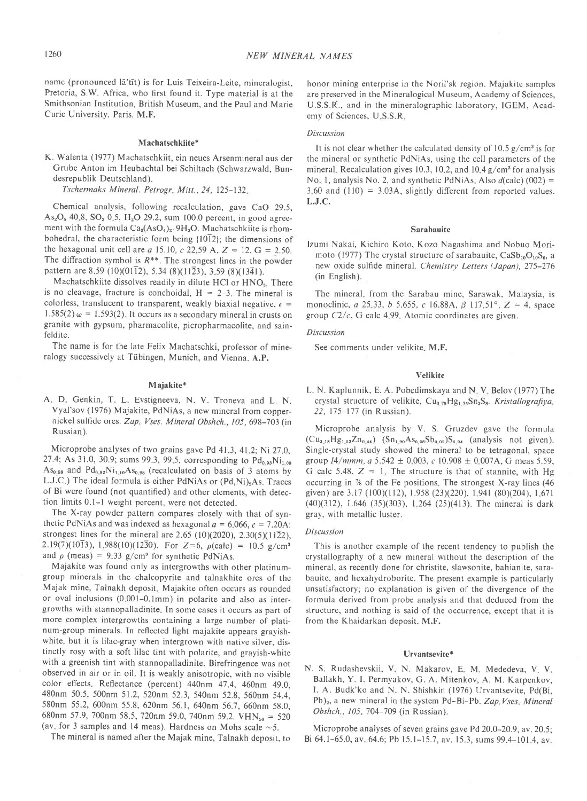name (pronounced la'tit) is for Luis Teixeira-Leite, mineralogist, Pretoria, S.W. Africa, who first found it. Type material is at the Smithsonian Institution, British Museum, and the Paul and Marie Curie University, Paris. M.F.

### Machatschkiite\*

K. Walenta (1977) Machatschkiit, ein neues Arsenmineral aus der Grube Anton im Heubachtal bei Schiltach (Schwarzwald, Bundesrepublik Deutschland).

Tschermaks Mineral. Petrogr. Mitt., 24, 125-132.

Chemical analysis, following recalculation, gave CaO 29.5,  $As<sub>2</sub>O<sub>5</sub>$  40.8, SO<sub>3</sub> 0.5, H<sub>2</sub>O 29.2, sum 100.0 percent, in good agreement with the formula  $Ca_8(AsO_4)_2.9H_2O$ . Machatschkiite is rhombohedral, the characteristic form being {10T2}; the dimensions of the hexagonal unit cell are *a* 15.10, *c* 22.59 A,  $Z = 12$ ,  $G = 2.50$ . The diffraction symbol is  $R^{**}$ . The strongest lines in the powder pattern are 8.59 (10)(0112), 5.34 (8)(1123), 3.59 (8)(1341).

Machatschkiite dissolves readily in dilute HCl or HNO<sub>3</sub>. There is no cleavage, fracture is conchoidal,  $H = 2-3$ . The mineral is colorless, translucent to transparent, weakly biaxial negative,  $\epsilon$  = 1.585(2)  $\omega = 1.593(2)$ . It occurs as a secondary mineral in crusts on granite with gypsum, pharmacolite, picropharmacolite, and sainfeldite.

The name is for the late Felix Machatschki, professor of mineralogy successively at Tübingen, Munich, and Vienna. A.P.

### Majakite\*

A. D. Genkin, T. L. Evstigneeva, N. V. Troneva and L. N. Vyal'sov (1976) Majakite, PdNiAs, a new mineral from coppernickel sulfide ores. Zap. Vses. Mineral Obshch., 105, 698-703 (in Russian ).

Microprobe analyses of two grains gave Pd 41.3, 41.2; Ni 27.0. 27.4; As 31.0, 30.9; sums 99.3, 99.5, corresponding to  $Pd_{0.98}Ni_{1.09}$  $As<sub>0.98</sub>$  and  $Pd<sub>0.92</sub>Ni<sub>1.10</sub>As<sub>0.98</sub>$  (recalculated on basis of 3 atoms by L.J.C.) The ideal formula is either PdNiAs or (Pd,Ni)<sub>2</sub>As. Traces of Bi were found (not quantified) and other elements, with detection limits 0.1-l weight percent, were not detected.

The X-ray powder pattern compares closely with that of synthetic PdNiAs and was indexed as hexagonal  $a = 6.066$ ,  $c = 7.20$ A: strongest lines for the mineral are 2.65 (10)(2020), 2.30(5)(1122), 2.19(7)(10T3), 1.988(10)(1230). For Z=6,  $\rho$ (calc) = 10.5 g/cm<sup>3</sup> and  $\rho$  (meas) = 9.33 g/cm<sup>3</sup> for synthetic PdNiAs.

Majakite was found only as intergrowths with other platinumgroup minerals in the chalcopyrite and talnakhite ores of the Majak mine, Talnakh deposit. Majakite often occurs as rounded or oval inclusions (0 001-0.lmm) in polarite and also as intergrowths with stannopalladinite In some cases it occurs as part of more complex intergrowths containing a large number of platinum-group minerals. In reflected light majakite appears grayishwhite, but it is lilac-gray when intergrown with native silver, distinctly rosy with a soft lilac tint with polarite, and grayish-white with a greenish tint with stannopalladinite. Birefringence was not observed in air or in oil. It is weakly anisotropic, with no visible color effects. Reflectance (percent) 440nm 47.4, 460nm 49.0, 480nm 50.5, 500nm 51.2, 520nm 52.3,540nm 52.8, 560nm 54.4, 580nm 55.2, 600nm 55.8, 620nm 56.1, 640nm 56.7, 660nm 58.0, 680nm 57.9, 700nm 58.5, 720nm 59.0, 740nm 59.2. VHN<sub>so</sub> = 520 (av. for 3 samples and 14 meas). Hardness on Mohs scale  $\sim$  5.

The mineral is named after the Majak mine, Talnakh deposit, to

honor mining enterprise in the Noril'sk region. Majakite samples are preserved in the Mineralogical Museum, Academy of Sciences, U.S.S.R., and in the mineralographic laboratory, IGEM, Academy of Sciences, U S.S.R

### Discussion

It is not clear whether the calculated density of  $10.5 \frac{\text{g}}{\text{cm}^3}$  is for the mineral or synthetic PdNiAs, using the cell parameters of the mineral. Recalculation gives 10.3, 10.2, and 10.4  $g/cm<sup>3</sup>$  for analysis No. 1, analysis No. 2, and synthetic PdNiAs. Also  $d$ (calc) (002) =  $3,60$  and  $(110) = 3.03A$ , slightly different from reported values. L.J.C.

#### Sarabauite

Izumi Nakai, Kichiro Koto, Kozo Nagashima and Nobuo Morimoto (1977) The crystal structure of sarabauite,  $CaSb_{10}O_{10}S_6$ , a new oxide sulfide mineral. Chemistry Letters (Japan), 275-276 (in English).

The mineral, from the Sarabau mine, Sarawak, Malaysia, is monoclinic, a 25.33, b 5.655, c 16.88A,  $\beta$  117.51°,  $Z = 4$ , space group  $C2/c$ , G calc 4.99. Atomic coordinates are given.

## Discussion

See comments under velikite. M.F.

### Velikite

L. N. Kaplunnik, E. A. Pobedimskaya and N. V. Belov (1977) The crystal structure of velikite,  $Cu_{3.75}Hg_{1.75}Sn_{2}S_{8}$ . Kristallografiya, 22, 175-177 (in Russian ).

Microprobe analysis by V. S. Gruzdev gave the formula  $(Cu_{3,18}Hg_{1,53}Zn_{0,44})$   $(Sn_{1,90}As_{0,08}Sb_{0,02})S_{9,94}$  (analysis not given). Single-crystal study showed the mineral to be tetragonal, space group  $I4/mmm$ ,  $a 5.542 \pm 0.003$ ,  $c 10.908 \pm 0.007$ A, G meas 5.59, G calc 5.48,  $Z = 1$ . The structure is that of stannite, with Hg occurring in  $\%$  of the Fe positions. The strongest X-ray lines (46) given) are 3.17 (100)(112), 1.958 (23)(220), 1.941 (80)(204), 1.671  $(40)(312)$ , 1.646  $(35)(303)$ , 1.264  $(25)(413)$ . The mineral is dark gray, with metallic luster.

### Discussion

This is another example of the recent tendency to publish the crystallography of a new mineral without the description of the mineral, as recently done for christite, slawsonite, bahianite, sarabauite, and hexahydroborite. The present example is particularly unsatisfactory; no explanation is given of the divergence of the formula derived from probe analysis and that deduced from the structure, and nothing is said of the occurrence, except that it is from the Khaidarkan deposit. M.F.

#### Urvantsevite\*

N. S. Rudashevskii, V. N. Makarov, E. M. Mededeva, V. V. Ballakh, Y. I. Permyakov, G. A. Mitenkov, A. M. Karpenkov, I. A. Budk'ko and N. N. Shishkin (1976) Urvantsevite, Pd(Bi,  $Pb$ <sub>2</sub>, a new mineral in the system Pd-Bi-Pb. Zap Vses, Mineral Obshch., 105, 704-709 (in Russian).

Microprobe analyses of seven grains gave Pd 20.0-20.9, av. 20.5; Bi 64.1-65.0, av 64.6; Pb 15.1-15.7, av. 15.3, sums 99.4-101.4, av.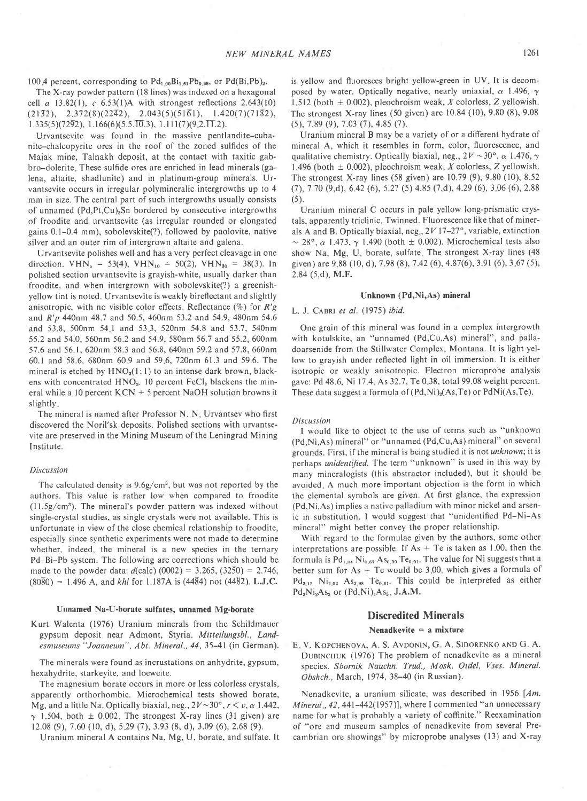100.4 percent, corresponding to  $Pd_{1,00}Bi_{1,61}Pb_{0,38}$ , or  $Pd(Bi,Pb)_2$ .

The X-ray powder pattern (18 lines) was indexed on a hexagonal cell a  $13.82(1)$ , c  $6.53(1)$ A with strongest reflections  $2.643(10)$  $(21\overline{3}2), \quad 2.372(8)(22\overline{4}2), \quad 2.043(5)(51\overline{6}1), \quad 1.420(7)(71\overline{8}2),$  $1.335(5)(72\overline{9}2), 1.166(6)(5.5\overline{.10.3}), 1.111(7)(9.2\overline{.11.2}).$ 

Urvantsevite was found in the massive pentlandite-cubanite-chalcopyrite ores in the roof of the zoned sulfides of the Majak mine, Talnakh deposit, at the contact with taxitic gabbro-dolerite. These sulfide ores are enriched in lead minerals (galena, altaite, shadlunite) and in platinum-group minerals. Urvantsevite occurs in irregular polymineralic intergrowths up to 4 mm in size. The central part of such intergrowths usually consists of unnamed  $(Pd, Pt, Cu)$ <sub>3</sub>Sn bordered by consecutive intergrowths of froodite and urvantsevite (as irregular rounded or elongated gains 0.1-0.4 mm), sobolevskite(?), followed by paolovite, native silver and an outer rim of intergrown altaite and galena.

Urvantsevite polishes well and has a very perfect cleavage in one direction. VHN<sub>5</sub> = 53(4), VHN<sub>10</sub> = 50(2), VHN<sub>30</sub> = 38(3). In polished section urvantsevite is grayish-white, usually darker than froodite, and when intergrown with sobolevskite(?) a greenishyellow tint is noted. Urvantsevite is weakly bireflectant and slightly anisotropic, with no visible color effects. Reflectance  $(\%)$  for  $R'g$ and R'p 440nm 48.7 and 50.5, 460nm 53.2 and 54.9,480nm 54.6 and 53.8, 500nm 54 I and 53 3, 520nm 54.8 and 53.7, 540nm 55.2 and 54.0, 560nm 56.2 and 54.9, 580nm 56.7 and 55.2, 600nm 57.6 and 56.1, 620nm 58.3 and 56.8, 640nm 59.2 and 57.8, 660nm 60.1 and 58.6,680nm 60.9 and 596,720nm 61.3 and 59.6. The mineral is etched by  $HNO<sub>3</sub>(1:1)$  to an intense dark brown, blackens with concentrated HNO<sub>3</sub>. 10 percent FeCl<sub>3</sub> blackens the mineral while a l0 percent KCN + 5 percent NaOH solution browns it slightly

The mineral is named after Professor N. N. Urvantsev who first discovered the Noril'sk deposits. Polished sections with urvantsevite are preserved in the Mining Museum of the Leningrad Mining Institute.

#### Discussion

The calculated density is  $9.6g/cm<sup>3</sup>$ , but was not reported by the authors. This value is rather low when compared to froodite  $(11.5g/cm<sup>3</sup>)$ . The mineral's powder pattern was indexed without single-crystal studies, as single crystals were not available. This is unfortunate in view of the close chemical relationship to froodite, especially since synthetic experiments were not made to determine whether, indeed, the mineral is a new species in the ternary Pd-Bi-Pb system. The following are corrections which should be made to the powder data:  $d$ (calc) (0002) = 3.265, (3250) = 2.746,  $(80\overline{8}0) = 1.496$  A, and khl for 1.187A is (4484) not (4482). L.J.C.

### Unnamed Na-U-borate sulfates, unnamed Mg-borate

Kurt Walenta (1976) Uranium minerals from the Schildmauer gypsum deposit near Admont, Styria. Mitteilungsbl., Landesmuseums "Joanneum", Abt. Mineral., 44, 35-41 (in German).

The minerals were found as incrustations on anhydrite, gypsum, hexahydrite, starkeyite, and loeweite.

The magnesium borate occurs in more or less colorless crystals, apparently orthorhombic. Microchemical tests showed borate, Mg, and a little Na. Optically biaxial, neg.,  $2V \sim 30^{\circ}$ ,  $r \lt v$ ,  $\alpha$  1.442,  $\gamma$  1.504, both  $\pm$  0.002. The strongest X-ray lines (31 given) are  $12.08$  (9),  $7.60$  (10, d),  $5.29$  (7),  $3.93$  (8, d),  $3.09$  (6),  $2.68$  (9).

Uranium mineral A contains Na, Mg, U, borate, and sulfate. It

is yellow and fluoresces bright yellow-green in UV. It is decomposed by water. Optically negative, nearly uniaxial,  $\alpha$  1.496,  $\gamma$ 1.512 (both  $\pm$  0.002), pleochroism weak, X colorless, Z yellowish. The strongest X-ray lines (50 given) are 10.84 (10), 9.80 (8), 9.08 (5), 7.8e (e), 7.03 (7), 4.8s (7).

Uranium mineral B may be a variety of or a different hydrate of mineral A, which it resembles in form, color, fluorescence, and qualitative chemistry. Optically biaxial, neg.,  $2V \sim 30^{\circ}$ ,  $\alpha$  1.476,  $\gamma$ 1.496 (both  $\pm$  0.002), pleochroism weak, X colorless, Z yellowish. The strongest X-ray lines (58 given) are 10.79 (9), 9.80 (10), 8.52  $(7)$ , 7.70  $(9,d)$ , 6.42  $(6)$ , 5.27  $(5)$  4.85  $(7,d)$ , 4.29  $(6)$ , 3.06  $(6)$ , 2.88  $(5)$ .

Uranium mineral C occurs in pale yellow long-prismatic crystals, apparently triclinic. Twinned. Fluorescence like that of minerals A and B. Optically biaxial, neg.,  $2V17-27°$ , variable, extinction  $\sim$  28°,  $\alpha$  1.473,  $\gamma$  1.490 (both  $\pm$  0.002). Microchemical tests also show Na, Mg, U, borate, sulfate. The strongest X-ray lines (48 given) are 9.88 (10, d), 7.98 (8), 7.42 (6), 4.87(6), 3.91 (6), 3.67 (5), 2.84 (5,d). M.F.

### Unknown (Pd,Ni,As) mineral

### L. J. CABRI et al. (1975) ibid.

One grain of this mineral was found in a complex intergrowth with kotulskite, an "unnamed (Pd,Cu,As) mineral", and palladoarsenide from the Stillwater Complex, Montana. lt is light yellow to grayish under reflected light in oil immersion. It is either isotropic or weakly anisotropic. Electron microprobe analysis gave: Pd 48.6, Ni 17.4, As 32.7,Te 0 38, total 99.08 weight percent. These data suggest a formula of  $(Pd,Ni)_{2}(As,Te)$  or  $PdNi(As,Te)$ .

#### Discussion

I would like to object to the use of terms such as "unknown (Pd,Ni,As) mineral" or "unnamed (Pd,Cu,As) mineral" on several grounds. First, if the mineral is being studied it is not unknown; it is perhaps unidentified. The term "unknown" is used in this way by many mineralogists (this abstractor included), but it should be avoided. A much more important objection is the form in which the elemental symbols are given. At first glance, the expression (Pd,Ni,As) implies a native palladium with minor nickel and arsenic in substitution. I would suggest that "unidentified Pd-Ni-As mineral" might better convey the proper relationship.

With regard to the formulae given by the authors, some other interpretations are possible. If  $As + Te$  is taken as 1.00, then the formula is  $Pd_{1,04}$  Ni<sub>0.67</sub> As<sub>0.99</sub> Te<sub>0.01</sub>. The value for Ni suggests that a better sum for  $As + Te$  would be 3,00, which gives a formula of  $Pd_{3,12}$  Ni<sub>2.02</sub> As<sub>2.98</sub> Te<sub>0.01</sub>. This could be interpreted as either  $Pd_3Ni_2As_3$  or  $(Pd,Ni)_5As_3$  J.A.M.

### Discredited Minerals

### Nenadkevite = a mixture

E. V. KOPCHENOVA, A. S. AVDONIN, G. A. SIDORENKO AND G. A. DUBINCHUK (1976) The problem of nenadkevite as a mineral species. Sbornik Nauchn. Trud., Mosk. Otdel, Vses. Mineral. Obshch., March, 1974, 38-40 (in Russian).

Nenadkevite, a uranium silicate, was described in 1956 [Am. *Mineral , 42, 441-442(1957)]*, where I commented "an unnecessary name for what is probably a variety of coffinite." Reexamination of "ore and museum samples of nenadkevite from several Precambrian ore showings" by microprobe analyses (13) and X-ray